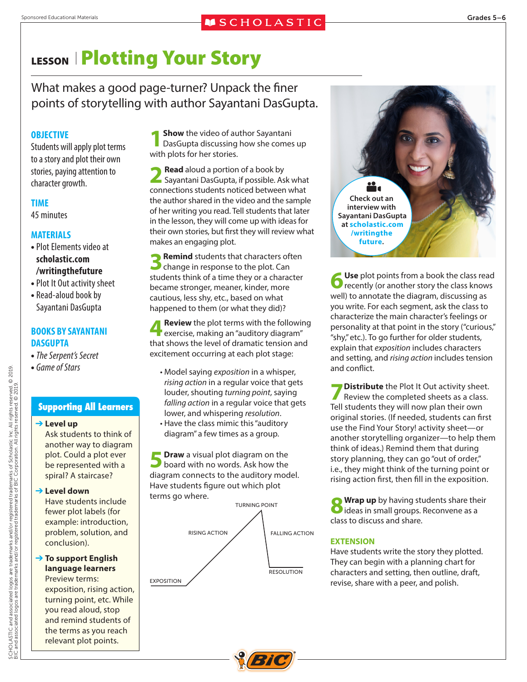### Sponsored Educational Materials Grades 5–6<br> **Solucational Materials** Grades 5–6

# LESSON **Plotting Your Story**

What makes a good page-turner? Unpack the finer points of storytelling with author Sayantani DasGupta.

#### **OBJECTIVE**

Students will apply plot terms to a story and plot their own stories, paying attention to character growth.

#### **TIME**

45 minutes

#### **MATERIALS**

- **•**Plot Elements video at **scholastic.com /writingthefuture**
- **•**Plot It Out activity sheet
- **•** Read-aloud book by Sayantani DasGupta

#### **BOOKS BY SAYANTANI DASGUPTA**

- **•** *The Serpent's Secret*
- **•** *Game of Stars*

#### **Supporting All Learners**

#### ➔ **Level up**

Ask students to think of another way to diagram plot. Could a plot ever be represented with a spiral? A staircase?

#### ➔ **Level down**

Have students include fewer plot labels (for example: introduction, problem, solution, and conclusion).

#### ➔ **To support English language learners** Preview terms:

exposition, rising action, turning point, etc. While you read aloud, stop and remind students of the terms as you reach relevant plot points.

**1 Show** the video of author Sayantani DasGupta discussing how she comes up with plots for her stories.

**2 Read** aloud a portion of a book by Sayantani DasGupta, if possible. Ask what connections students noticed between what the author shared in the video and the sample of her writing you read. Tell students that later in the lesson, they will come up with ideas for their own stories, but first they will review what makes an engaging plot.

**3Remind** students that characters often change in response to the plot. Can students think of a time they or a character became stronger, meaner, kinder, more cautious, less shy, etc., based on what happened to them (or what they did)?

**Review** the plot terms with the following exercise, making an "auditory diagram" that shows the level of dramatic tension and excitement occurring at each plot stage:

- Model saying *exposition* in a whisper, *rising action* in a regular voice that gets louder, shouting *turning point*, saying *falling action* in a regular voice that gets lower, and whispering *resolution*.
- Have the class mimic this "auditory diagram" a few times as a group.

**5 Draw** a visual plot diagram on the board with no words. Ask how the diagram connects to the auditory model. Have students figure out which plot terms go where.





**6 Use** plot points from a book the class read recently (or another story the class knows well) to annotate the diagram, discussing as you write. For each segment, ask the class to characterize the main character's feelings or personality at that point in the story ("curious," "shy," etc.). To go further for older students, explain that *exposition* includes characters and setting, and *rising action* includes tension and conflict.

**7 Distribute** the Plot It Out activity sheet.<br>
Review the completed sheets as a class. Tell students they will now plan their own original stories. (If needed, students can first use the Find Your Story! activity sheet—or another storytelling organizer—to help them think of ideas.) Remind them that during story planning, they can go "out of order," i.e., they might think of the turning point or rising action first, then fill in the exposition.

**8Wrap up** by having students share their<br>ideas in small groups. Reconvene as a class to discuss and share.

#### **EXTENSION**

Have students write the story they plotted. They can begin with a planning chart for characters and setting, then outline, draft, revise, share with a peer, and polish.